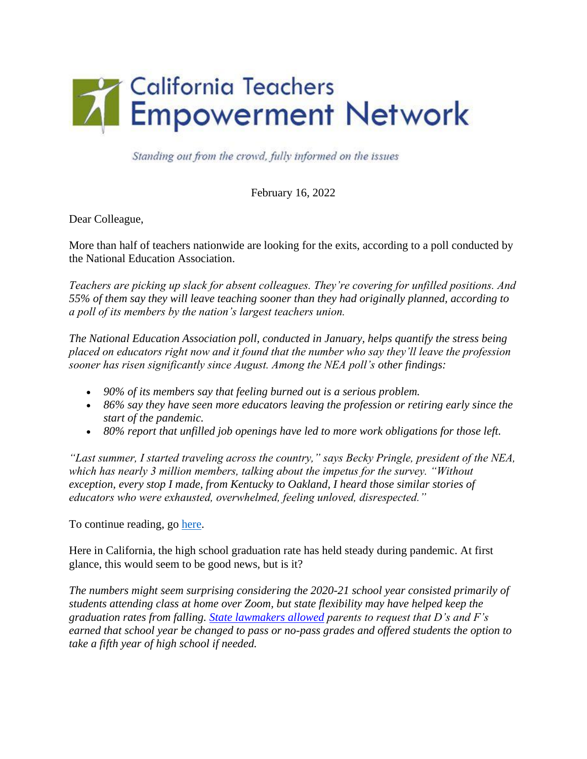

Standing out from the crowd, fully informed on the issues

February 16, 2022

Dear Colleague,

More than half of teachers nationwide are looking for the exits, according to a poll conducted by the National Education Association.

*Teachers are picking up slack for absent colleagues. They're covering for unfilled positions. And 55% of them say they will leave teaching sooner than they had originally planned, according to a poll of its members by the nation's largest teachers union.*

*The National Education Association poll, conducted in January, helps quantify the stress being placed on educators right now and it found that the number who say they'll leave the profession sooner has risen significantly since August. Among the NEA poll's other findings:* 

- *90% of its members say that feeling burned out is a serious problem.*
- *86% say they have seen more educators leaving the profession or retiring early since the start of the pandemic.*
- *80% report that unfilled job openings have led to more work obligations for those left.*

*"Last summer, I started traveling across the country," says Becky Pringle, president of the NEA, which has nearly 3 million members, talking about the impetus for the survey. "Without exception, every stop I made, from Kentucky to Oakland, I heard those similar stories of educators who were exhausted, overwhelmed, feeling unloved, disrespected."* 

To continue reading, go [here.](about:blank)

Here in California, the high school graduation rate has held steady during pandemic. At first glance, this would seem to be good news, but is it?

*The numbers might seem surprising considering the 2020-21 school year consisted primarily of students attending class at home over Zoom, but state flexibility may have helped keep the graduation rates from falling. [State lawmakers allowed](about:blank) parents to request that D's and F's earned that school year be changed to pass or no-pass grades and offered students the option to take a fifth year of high school if needed.*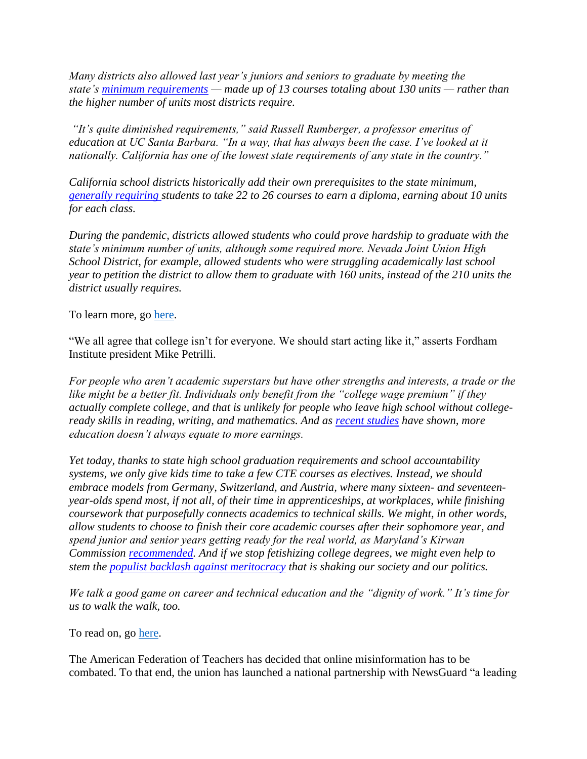*Many districts also allowed last year's juniors and seniors to graduate by meeting the state's [minimum requirements](about:blank) — made up of 13 courses totaling about 130 units — rather than the higher number of units most districts require.*

*"It's quite diminished requirements," said Russell Rumberger, a professor emeritus of*  education at UC Santa Barbara. "In a way, that has always been the case. I've looked at it *nationally. California has one of the lowest state requirements of any state in the country."*

*California school districts historically add their own prerequisites to the state minimum, [generally requiring s](about:blank)tudents to take 22 to 26 courses to earn a diploma, earning about 10 units for each class.*

*During the pandemic, districts allowed students who could prove hardship to graduate with the state's minimum number of units, although some required more. Nevada Joint Union High School District, for example, allowed students who were struggling academically last school year to petition the district to allow them to graduate with 160 units, instead of the 210 units the district usually requires.*

To learn more, go [here.](about:blank)

"We all agree that college isn't for everyone. We should start acting like it," asserts Fordham Institute president Mike Petrilli.

*For people who aren't academic superstars but have other strengths and interests, a trade or the like might be a better fit. Individuals only benefit from the "college wage premium" if they actually complete college, and that is unlikely for people who leave high school without collegeready skills in reading, writing, and mathematics. And as [recent studies](about:blank) have shown, more education doesn't always equate to more earnings.*

*Yet today, thanks to state high school graduation requirements and school accountability systems, we only give kids time to take a few CTE courses as electives. Instead, we should embrace models from Germany, Switzerland, and Austria, where many sixteen- and seventeenyear-olds spend most, if not all, of their time in apprenticeships, at workplaces, while finishing coursework that purposefully connects academics to technical skills. We might, in other words, allow students to choose to finish their core academic courses after their sophomore year, and spend junior and senior years getting ready for the real world, as Maryland's Kirwan Commission [recommended.](about:blank) And if we stop fetishizing college degrees, we might even help to stem the [populist backlash against meritocracy](about:blank) that is shaking our society and our politics.*

*We talk a good game on career and technical education and the "dignity of work." It's time for us to walk the walk, too.*

To read on, go [here.](about:blank)

The American Federation of Teachers has decided that online misinformation has to be combated. To that end, the union has launched a national partnership with NewsGuard "a leading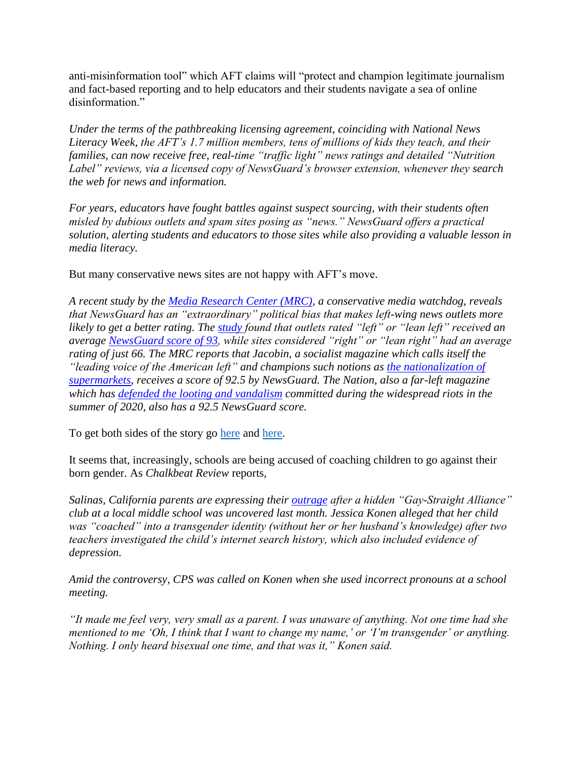anti-misinformation tool" which AFT claims will "protect and champion legitimate journalism and fact-based reporting and to help educators and their students navigate a sea of online disinformation."

*Under the terms of the pathbreaking licensing agreement, coinciding with National News Literacy Week, the AFT's 1.7 million members, tens of millions of kids they teach, and their families, can now receive free, real-time "traffic light" news ratings and detailed "Nutrition Label" reviews, via a licensed copy of NewsGuard's browser extension, whenever they search the web for news and information.* 

*For years, educators have fought battles against suspect sourcing, with their students often misled by dubious outlets and spam sites posing as "news." NewsGuard offers a practical solution, alerting students and educators to those sites while also providing a valuable lesson in media literacy.*

But many conservative news sites are not happy with AFT's move.

*A recent study by the [Media Research Center \(MRC\),](about:blank) a conservative media watchdog, reveals that NewsGuard has an "extraordinary" political bias that makes left-wing news outlets more likely to get a better rating. The [study](about:blank) found that outlets rated "left" or "lean left" received an average [NewsGuard score of 93,](about:blank) while sites considered "right" or "lean right" had an average rating of just 66. The MRC reports that Jacobin, a socialist magazine which calls itself the "leading voice of the American left" and champions such notions as [the nationalization of](about:blank)  [supermarkets,](about:blank) receives a score of 92.5 by NewsGuard. The Nation, also a far-left magazine which has [defended the looting and vandalism](about:blank) committed during the widespread riots in the summer of 2020, also has a 92.5 NewsGuard score.*

To get both sides of the story go [here](about:blank) and [here.](about:blank)

It seems that, increasingly, schools are being accused of coaching children to go against their born gender. As *Chalkbeat Review* reports,

*Salinas, California parents are expressing their [outrage](about:blank) after a hidden "Gay-Straight Alliance" club at a local middle school was uncovered last month. Jessica Konen alleged that her child was "coached" into a transgender identity (without her or her husband's knowledge) after two teachers investigated the child's internet search history, which also included evidence of depression.*

*Amid the controversy, CPS was called on Konen when she used incorrect pronouns at a school meeting.*

*"It made me feel very, very small as a parent. I was unaware of anything. Not one time had she mentioned to me 'Oh, I think that I want to change my name,' or 'I'm transgender' or anything. Nothing. I only heard bisexual one time, and that was it," Konen said.*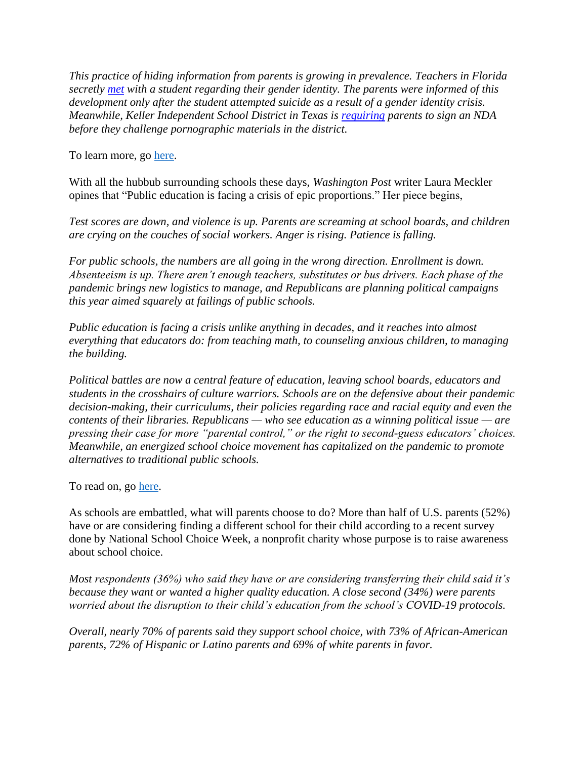*This practice of hiding information from parents is growing in prevalence. Teachers in Florida secretly [met](about:blank) with a student regarding their gender identity. The parents were informed of this development only after the student attempted suicide as a result of a gender identity crisis. Meanwhile, Keller Independent School District in Texas is [requiring](about:blank) parents to sign an NDA before they challenge pornographic materials in the district.*

To learn more, go [here.](about:blank)

With all the hubbub surrounding schools these days, *Washington Post* writer Laura Meckler opines that "Public education is facing a crisis of epic proportions." Her piece begins,

*Test scores are down, and violence is up. Parents are screaming at school boards, and children are crying on the couches of social workers. Anger is rising. Patience is falling.*

*For public schools, the numbers are all going in the wrong direction. Enrollment is down. Absenteeism is up. There aren't enough teachers, substitutes or bus drivers. Each phase of the pandemic brings new logistics to manage, and Republicans are planning political campaigns this year aimed squarely at failings of public schools.*

*Public education is facing a crisis unlike anything in decades, and it reaches into almost everything that educators do: from teaching math, to counseling anxious children, to managing the building.*

*Political battles are now a central feature of education, leaving school boards, educators and students in the crosshairs of culture warriors. Schools are on the defensive about their pandemic decision-making, their curriculums, their policies regarding race and racial equity and even the contents of their libraries. Republicans — who see education as a winning political issue — are pressing their case for more "parental control," or the right to second-guess educators' choices. Meanwhile, an energized school choice movement has capitalized on the pandemic to promote alternatives to traditional public schools.*

To read on, go [here.](about:blank)

As schools are embattled, what will parents choose to do? More than half of U.S. parents (52%) have or are considering finding a different school for their child according to a recent survey done by National School Choice Week, a nonprofit charity whose purpose is to raise awareness about school choice.

*Most respondents (36%) who said they have or are considering transferring their child said it's because they want or wanted a higher quality education. A close second (34%) were parents worried about the disruption to their child's education from the school's COVID-19 protocols.*

*Overall, nearly 70% of parents said they support school choice, with 73% of African-American parents, 72% of Hispanic or Latino parents and 69% of white parents in favor.*